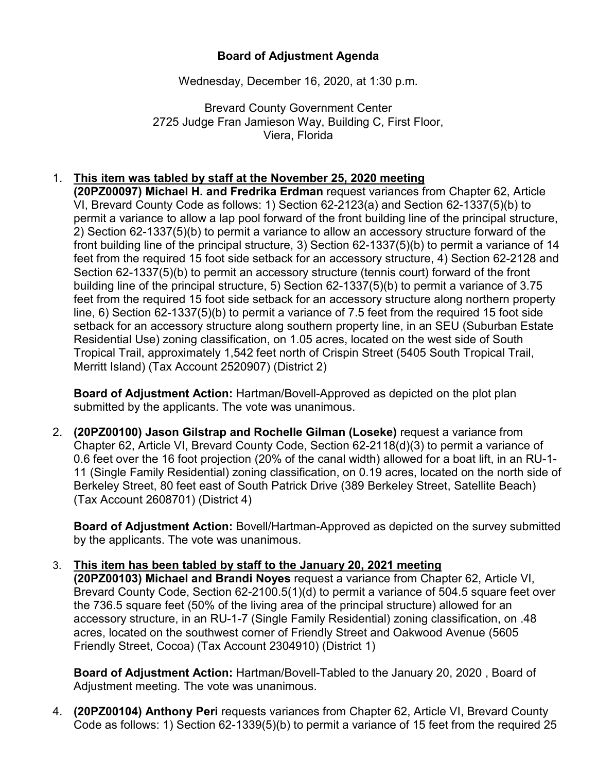## **Board of Adjustment Agenda**

Wednesday, December 16, 2020, at 1:30 p.m.

Brevard County Government Center 2725 Judge Fran Jamieson Way, Building C, First Floor, Viera, Florida

## 1. **This item was tabled by staff at the November 25, 2020 meeting**

**(20PZ00097) Michael H. and Fredrika Erdman** request variances from Chapter 62, Article VI, Brevard County Code as follows: 1) Section 62-2123(a) and Section 62-1337(5)(b) to permit a variance to allow a lap pool forward of the front building line of the principal structure, 2) Section 62-1337(5)(b) to permit a variance to allow an accessory structure forward of the front building line of the principal structure, 3) Section 62-1337(5)(b) to permit a variance of 14 feet from the required 15 foot side setback for an accessory structure, 4) Section 62-2128 and Section 62-1337(5)(b) to permit an accessory structure (tennis court) forward of the front building line of the principal structure, 5) Section 62-1337(5)(b) to permit a variance of 3.75 feet from the required 15 foot side setback for an accessory structure along northern property line, 6) Section 62-1337(5)(b) to permit a variance of 7.5 feet from the required 15 foot side setback for an accessory structure along southern property line, in an SEU (Suburban Estate Residential Use) zoning classification, on 1.05 acres, located on the west side of South Tropical Trail, approximately 1,542 feet north of Crispin Street (5405 South Tropical Trail, Merritt Island) (Tax Account 2520907) (District 2)

**Board of Adjustment Action:** Hartman/Bovell-Approved as depicted on the plot plan submitted by the applicants. The vote was unanimous.

2. **(20PZ00100) Jason Gilstrap and Rochelle Gilman (Loseke)** request a variance from Chapter 62, Article VI, Brevard County Code, Section 62-2118(d)(3) to permit a variance of 0.6 feet over the 16 foot projection (20% of the canal width) allowed for a boat lift, in an RU-1- 11 (Single Family Residential) zoning classification, on 0.19 acres, located on the north side of Berkeley Street, 80 feet east of South Patrick Drive (389 Berkeley Street, Satellite Beach) (Tax Account 2608701) (District 4)

**Board of Adjustment Action:** Bovell/Hartman-Approved as depicted on the survey submitted by the applicants. The vote was unanimous.

## 3. **This item has been tabled by staff to the January 20, 2021 meeting**

**(20PZ00103) Michael and Brandi Noyes** request a variance from Chapter 62, Article VI, Brevard County Code, Section 62-2100.5(1)(d) to permit a variance of 504.5 square feet over the 736.5 square feet (50% of the living area of the principal structure) allowed for an accessory structure, in an RU-1-7 (Single Family Residential) zoning classification, on .48 acres, located on the southwest corner of Friendly Street and Oakwood Avenue (5605 Friendly Street, Cocoa) (Tax Account 2304910) (District 1)

**Board of Adjustment Action:** Hartman/Bovell-Tabled to the January 20, 2020 , Board of Adjustment meeting. The vote was unanimous.

4. **(20PZ00104) Anthony Peri** requests variances from Chapter 62, Article VI, Brevard County Code as follows: 1) Section 62-1339(5)(b) to permit a variance of 15 feet from the required 25